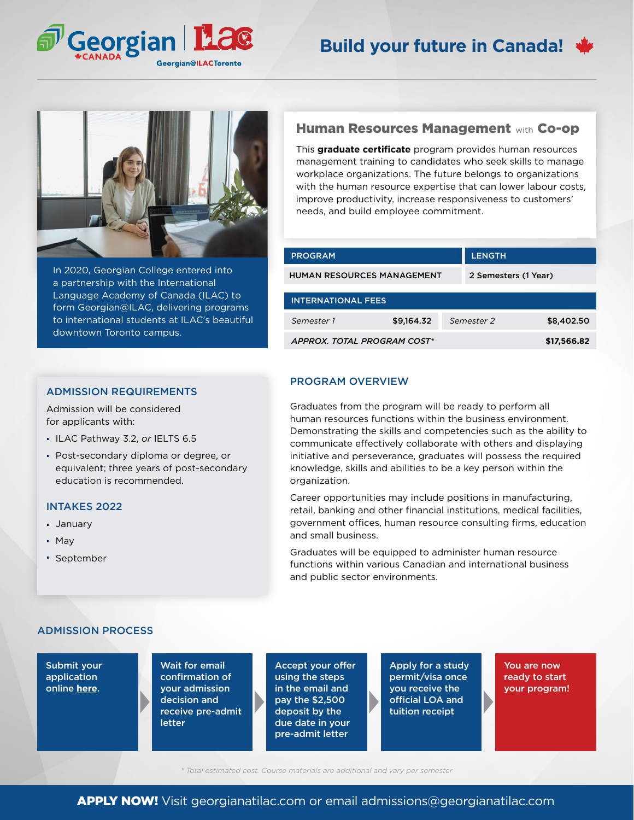



In 2020, Georgian College entered into a partnership with the International Language Academy of Canada (ILAC) to form Georgian@ILAC, delivering programs to international students at ILAC's beautiful downtown Toronto campus.

### ADMISSION REQUIREMENTS

Admission will be considered for applicants with:

- ILAC Pathway 3.2, *or* IELTS 6.5
- Post-secondary diploma or degree, or equivalent; three years of post-secondary education is recommended.

### INTAKES 2022

- January
- May
- September

# Human Resources Management with Co-op

This **graduate certificate** program provides human resources management training to candidates who seek skills to manage workplace organizations. The future belongs to organizations with the human resource expertise that can lower labour costs, improve productivity, increase responsiveness to customers' needs, and build employee commitment.

| <b>PROGRAM</b>                    |            |                      | <b>LENGTH</b> |            |  |
|-----------------------------------|------------|----------------------|---------------|------------|--|
| <b>HUMAN RESOURCES MANAGEMENT</b> |            | 2 Semesters (1 Year) |               |            |  |
| <b>INTERNATIONAL FEES</b>         |            |                      |               |            |  |
| Semester 1                        | \$9,164.32 |                      | Semester 2    | \$8,402.50 |  |
| APPROX. TOTAL PROGRAM COST*       |            | \$17,566.82          |               |            |  |

### PROGRAM OVERVIEW

Graduates from the program will be ready to perform all human resources functions within the business environment. Demonstrating the skills and competencies such as the ability to communicate effectively collaborate with others and displaying initiative and perseverance, graduates will possess the required knowledge, skills and abilities to be a key person within the organization.

Career opportunities may include positions in manufacturing, retail, banking and other financial institutions, medical facilities, government offices, human resource consulting firms, education and small business.

Graduates will be equipped to administer human resource functions within various Canadian and international business and public sector environments.

## ADMISSION PROCESS

Submit your application online **[here](georgianatilac.com/international-student-application/)**.

Wait for email confirmation of your admission decision and receive pre-admit letter

Accept your offer using the steps in the email and pay the \$2,500 deposit by the due date in your pre-admit letter

Apply for a study permit/visa once you receive the official LOA and tuition receipt

You are now ready to start your program!

*\* Total estimated cost. Course materials are additional and vary per semester*